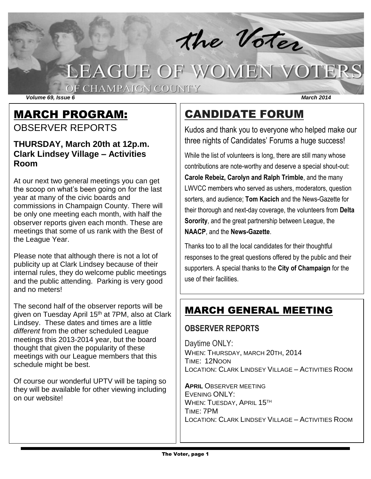the Voter

# LEAGUE OF WOMEN VOTERS

OF CHAMPAIGN COUNTY

*Volume 69, Issue 6 March 2014*

### MARCH PROGRAM: OBSERVER REPORTS

#### **THURSDAY, March 20th at 12p.m. Clark Lindsey Village – Activities Room**

At our next two general meetings you can get the scoop on what's been going on for the last year at many of the civic boards and commissions in Champaign County. There will be only one meeting each month, with half the observer reports given each month. These are meetings that some of us rank with the Best of the League Year.

Please note that although there is not a lot of publicity up at Clark Lindsey because of their internal rules, they do welcome public meetings and the public attending. Parking is very good and no meters!

The second half of the observer reports will be given on Tuesday April 15<sup>th</sup> at 7PM, also at Clark Lindsey. These dates and times are a little *different* from the other scheduled League meetings this 2013-2014 year, but the board thought that given the popularity of these meetings with our League members that this schedule might be best.

Of course our wonderful UPTV will be taping so they will be available for other viewing including on our website!

# CANDIDATE FORUM

Kudos and thank you to everyone who helped make our three nights of Candidates' Forums a huge success!

While the list of volunteers is long, there are still many whose contributions are note-worthy and deserve a special shout-out: **Carole Rebeiz, Carolyn and Ralph Trimble**, and the many LWVCC members who served as ushers, moderators, question sorters, and audience; **Tom Kacich** and the News-Gazette for their thorough and next-day coverage, the volunteers from **Delta Sorority**, and the great partnership between League, the **NAACP**, and the **News-Gazette**.

Thanks too to all the local candidates for their thoughtful responses to the great questions offered by the public and their supporters. A special thanks to the **City of Champaign** for the use of their facilities.

## MARCH GENERAL MEETING

### **OBSERVER REPORTS**

Daytime ONLY: WHEN: THURSDAY, MARCH 20TH, 2014 TIME: 12NOON LOCATION: CLARK LINDSEY VILLAGE – ACTIVITIES ROOM

**APRIL** OBSERVER MEETING EVENING ONLY: WHEN: TUESDAY, APRIL 15TH TIME: 7PM LOCATION: CLARK LINDSEY VILLAGE – ACTIVITIES ROOM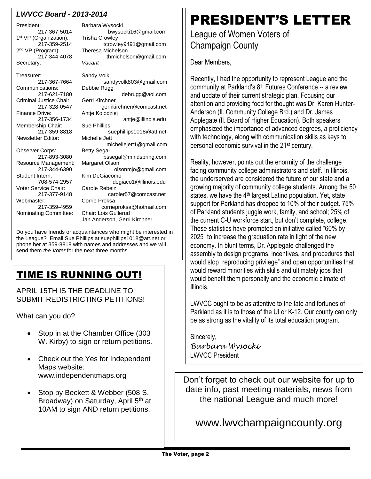#### *LWVCC Board - 2013-2014*

President: Barbara Wysocki 1<sup>st</sup> VP (Organization): Trisha Crowley 2<sup>nd</sup> VP (Program): Secretary: *Vacant*

Treasurer: Sandy Volk Communications:<br>217-621-7180 Criminal Justice Chair Gerri Kirchner Membership Chair: Sue Phillips Newsletter Editor: Michelle Jett Observer Corps:<br>217-893-3080 Resource Management: Margaret Olson

Voter Service Chair: Carole Rebeiz Webmaster: Corrie Proksa

Nominating Committee: Chair: Lois Gullerud

217-367-5014 bwysocki16@gmail.com 217-359-2514 tcrowley9491@gmail.com Program): Theresa Michelson<br>217-344-4078 thmichels thmichelson@gmail.com 217-367-7664 sandyvolk803@gmail.com debrugg@aol.com 217-328-0547 gerrikirchner@comcast.net<br>Finance Drive: Antie Kolodziej Antje Kolodziej 217-356-1734 antje@illinois.edu 217-359-8818 suephillips1018@att.net michellejett1@gmail.com<br>Bettv Segal bssegal@mindspring.com 217-344-6390 olsonmjo@gmail.com Kim DeGiacomo 708-574-2957 degiaco1@illinois.edu 217-377-9148 caroler57@comcast.net 217-359-4959 corrieproksa@hotmail.com Jan Anderson, Gerri Kirchner

Do you have friends or acquaintances who might be interested in the League? Email Sue Phillips at suephillips1018@att.net or phone her at 359-8818 with names and addresses and we will send them *the Voter* for the next three months.

## TIME IS RUNNING OUT!

APRIL 15TH IS THE DEADLINE TO SUBMIT REDISTRICTING PETITIONS!

What can you do?

- Stop in at the Chamber Office (303) W. Kirby) to sign or return petitions.
- Check out the Yes for Independent Maps website: www.independentmaps.org
- Stop by Beckett & Webber (508 S. Broadway) on Saturday, April 5<sup>th</sup> at 10AM to sign AND return petitions.

# PRESIDENT'S LETTER

League of Women Voters of Champaign County

Dear Members,

Recently, I had the opportunity to represent League and the community at Parkland's 8<sup>th</sup> Futures Conference -- a review and update of their current strategic plan. Focusing our attention and providing food for thought was Dr. Karen Hunter-Anderson (Il. Community College Brd.) and Dr. James Applegate (Il. Board of Higher Education). Both speakers emphasized the importance of advanced degrees, a proficiency with technology, along with communication skills as keys to personal economic survival in the 21st century.

Reality, however, points out the enormity of the challenge facing community college administrators and staff. In Illinois, the underserved are considered the future of our state and a growing majority of community college students. Among the 50 states, we have the 4<sup>th</sup> largest Latino population. Yet, state support for Parkland has dropped to 10% of their budget. 75% of Parkland students juggle work, family, and school; 25% of the current C-U workforce start, but don't complete, college. These statistics have prompted an initiative called "60% by 2025" to increase the graduation rate in light of the new economy. In blunt terms, Dr. Applegate challenged the assembly to design programs, incentives, and procedures that would stop "reproducing privilege" and open opportunities that would reward minorities with skills and ultimately jobs that would benefit them personally and the economic climate of Illinois.

LWVCC ought to be as attentive to the fate and fortunes of Parkland as it is to those of the UI or K-12. Our county can only be as strong as the vitality of its total education program.

Sincerely, *Barbara Wysocki* LWVCC President

Don't forget to check out our website for up to date info, past meeting materials, news from the national League and much more!

www.lwvchampaigncounty.org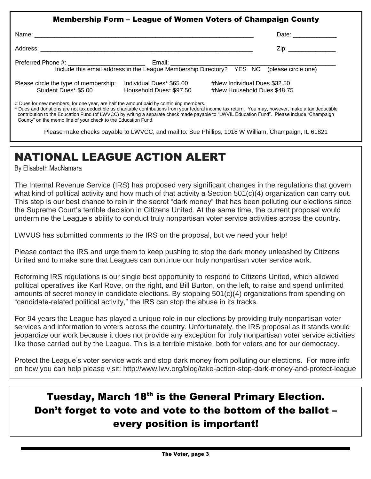|                                                               |                                                                                           |                                                             | Date: _______________ |
|---------------------------------------------------------------|-------------------------------------------------------------------------------------------|-------------------------------------------------------------|-----------------------|
|                                                               |                                                                                           |                                                             | Zip: _______________  |
|                                                               | Include this email address in the League Membership Directory? YES NO (please circle one) |                                                             |                       |
| Please circle the type of membership:<br>Student Dues* \$5.00 | Individual Dues* \$65.00<br>Household Dues* \$97.50                                       | #New Individual Dues \$32.50<br>#New Household Dues \$48.75 |                       |

\* Dues and donations are not tax deductible as charitable contributions from your federal income tax return. You may, however, make a tax deductible contribution to the Education Fund (of LWVCC) by writing a separate check made payable to "LWVIL Education Fund". Please include "Champaign County" on the memo line of your check to the Education Fund.

Please make checks payable to LWVCC, and mail to: Sue Phillips, 1018 W William, Champaign, IL 61821

# NATIONAL LEAGUE ACTION ALERT

By Elisabeth MacNamara

The Internal Revenue Service (IRS) has proposed very significant changes in the regulations that govern what kind of political activity and how much of that activity a Section 501(c)(4) organization can carry out. This step is our best chance to rein in the secret "dark money" that has been polluting our elections since the Supreme Court's terrible decision in Citizens United. At the same time, the current proposal would undermine the League's ability to conduct truly nonpartisan voter service activities across the country.

LWVUS has submitted comments to the IRS on the proposal, but we need your help!

Please contact the IRS and urge them to keep pushing to stop the dark money unleashed by Citizens United and to make sure that Leagues can continue our truly nonpartisan voter service work.

Reforming IRS regulations is our single best opportunity to respond to Citizens United, which allowed political operatives like Karl Rove, on the right, and Bill Burton, on the left, to raise and spend unlimited amounts of secret money in candidate elections. By stopping 501(c)(4) organizations from spending on "candidate-related political activity," the IRS can stop the abuse in its tracks.

For 94 years the League has played a unique role in our elections by providing truly nonpartisan voter services and information to voters across the country. Unfortunately, the IRS proposal as it stands would jeopardize our work because it does not provide any exception for truly nonpartisan voter service activities like those carried out by the League. This is a terrible mistake, both for voters and for our democracy.

Protect the League's voter service work and stop dark money from polluting our elections. For more info on how you can help please visit: http://www.lwv.org/blog/take-action-stop-dark-money-and-protect-league

# Tuesday, March 18<sup>th</sup> is the General Primary Election. Don't forget to vote and vote to the bottom of the ballot – every position is important!